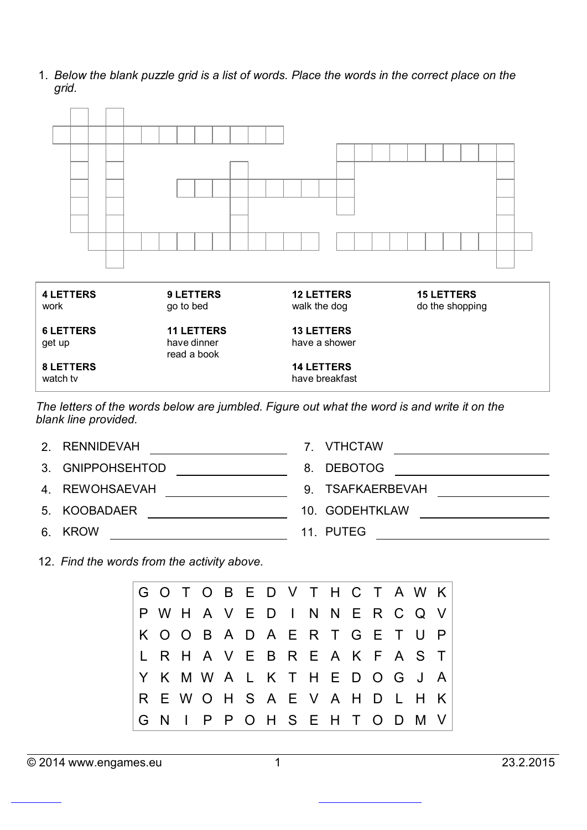1. *Below the blank puzzle grid is a list of words. Place the words in the correct place on the grid.*



*The letters of the words below are jumbled. Figure out what the word is and write it on the blank line provided.*

| 2. RENNIDEVAH    | 7. VTHCTAW       |
|------------------|------------------|
| 3. GNIPPOHSEHTOD | 8. DEBOTOG       |
| 4. REWOHSAEVAH   | 9. TSAFKAERBEVAH |
| 5. KOOBADAER     | 10. GODEHTKLAW   |
| 6. KROW          | 11. PUTEG        |

12. *Find the words from the activity above.*

G O T O B E D V T H C T A W K P W H A V E D I N N E R C Q V K O O B A D A E R T G E T U P L R H A V E B R E A K F A S T Y K M W A L K T H E D O G J A R E W O H S A E V A H D L H K G N I P P O H S E H T O D M V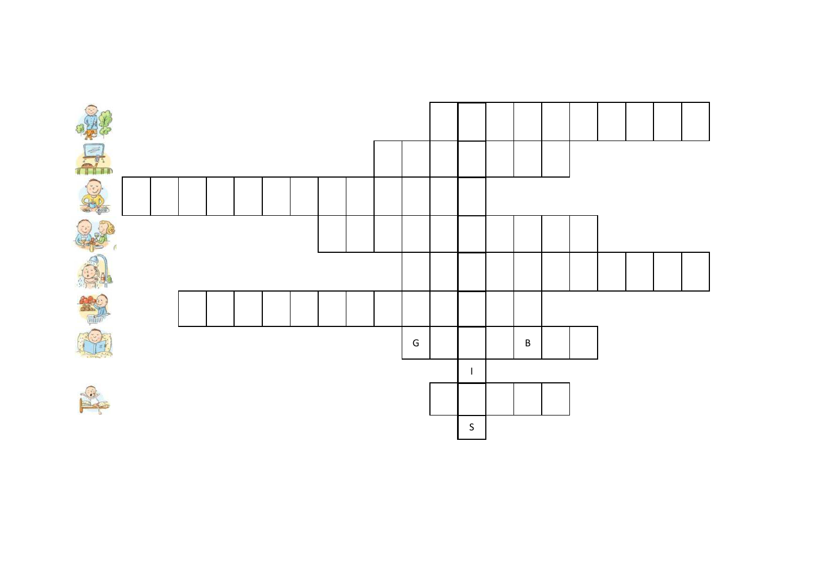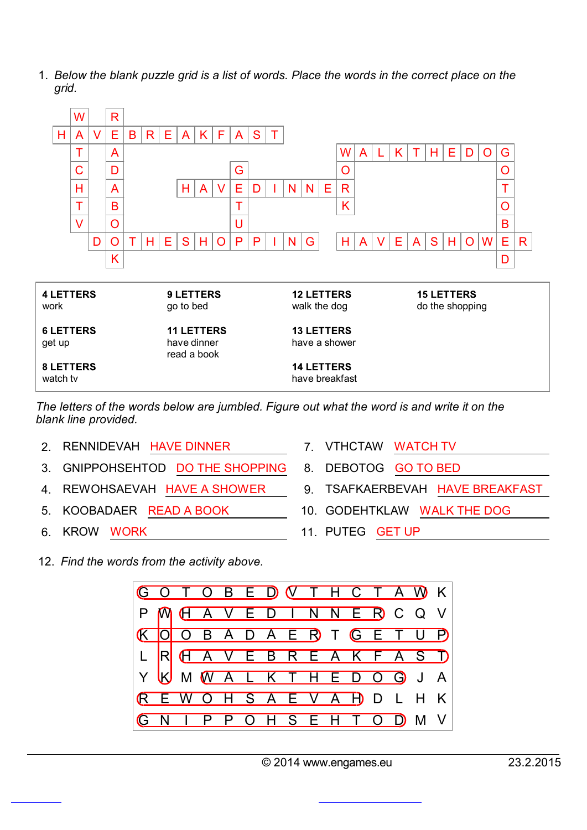1. *Below the blank puzzle grid is a list of words. Place the words in the correct place on the grid.*



*The letters of the words below are jumbled. Figure out what the word is and write it on the blank line provided.*

- 2. RENNIDEVAH HAVE DINNER 7. VTHCTAW WATCH TV
- 3. GNIPPOHSEHTOD DO THE SHOPPING 8. DEBOTOG GO TO BED
- 
- 
- 
- 
- 
- 4. REWOHSAEVAH HAVE A SHOWER 9. TSAFKAERBEVAH HAVE BREAKFAST
- 5. KOOBADAER READ A BOOK 10. GODEHTKLAW WALK THE DOG
- 6. KROW WORK 11. PUTEG GET UP

12. *Find the words from the activity above.*

![](_page_2_Picture_14.jpeg)